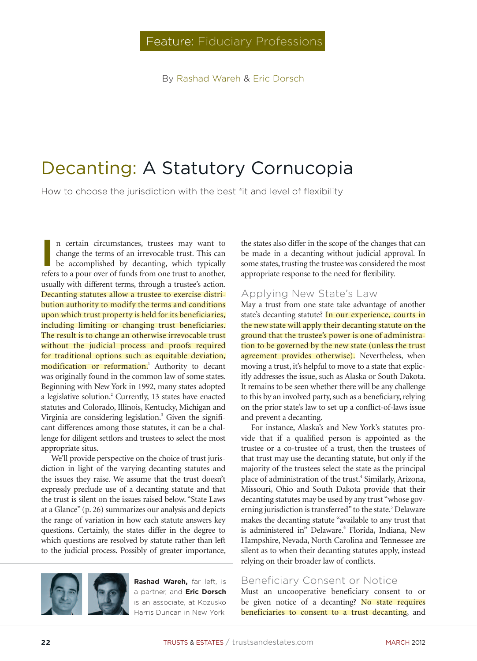By Rashad Wareh & Eric Dorsch

# Decanting: A Statutory Cornucopia

How to choose the jurisdiction with the best fit and level of flexibility

**I** n certain circumstances, trustees may want to change the terms of an irrevocable trust. This can be accomplished by decanting, which typically refers to a pour over of funds from one trust to another, usually with different terms, through a trustee's action. Decanting statutes allow a trustee to exercise distribution authority to modify the terms and conditions upon which trust property is held for its beneficiaries, including limiting or changing trust beneficiaries. The result is to change an otherwise irrevocable trust without the judicial process and proofs required for traditional options such as equitable deviation, modification or reformation.<sup>1</sup> Authority to decant was originally found in the common law of some states. Beginning with New York in 1992, many states adopted a legislative solution.<sup>2</sup> Currently, 13 states have enacted statutes and Colorado, Illinois, Kentucky, Michigan and Virginia are considering legislation.<sup>3</sup> Given the significant differences among those statutes, it can be a challenge for diligent settlors and trustees to select the most appropriate situs.

We'll provide perspective on the choice of trust jurisdiction in light of the varying decanting statutes and the issues they raise. We assume that the trust doesn't expressly preclude use of a decanting statute and that the trust is silent on the issues raised below. "State Laws at a Glance" (p. 26) summarizes our analysis and depicts the range of variation in how each statute answers key questions. Certainly, the states differ in the degree to which questions are resolved by statute rather than left to the judicial process. Possibly of greater importance,



**Rashad Wareh,** far left, is a partner, and **Eric Dorsch** is an associate, at Kozusko Harris Duncan in New York

the states also differ in the scope of the changes that can be made in a decanting without judicial approval. In some states, trusting the trustee was considered the most appropriate response to the need for flexibility.

#### Applying New State's Law

May a trust from one state take advantage of another state's decanting statute? In our experience, courts in the new state will apply their decanting statute on the ground that the trustee's power is one of administration to be governed by the new state (unless the trust agreement provides otherwise). Nevertheless, when moving a trust, it's helpful to move to a state that explicitly addresses the issue, such as Alaska or South Dakota. It remains to be seen whether there will be any challenge to this by an involved party, such as a beneficiary, relying on the prior state's law to set up a conflict-of-laws issue and prevent a decanting.

For instance, Alaska's and New York's statutes provide that if a qualified person is appointed as the trustee or a co-trustee of a trust, then the trustees of that trust may use the decanting statute, but only if the majority of the trustees select the state as the principal place of administration of the trust.<sup>4</sup> Similarly, Arizona, Missouri, Ohio and South Dakota provide that their decanting statutes may be used by any trust "whose governing jurisdiction is transferred" to the state.<sup>5</sup> Delaware makes the decanting statute "available to any trust that is administered in" Delaware.<sup>6</sup> Florida, Indiana, New Hampshire, Nevada, North Carolina and Tennessee are silent as to when their decanting statutes apply, instead relying on their broader law of conflicts.

#### Beneficiary Consent or Notice

Must an uncooperative beneficiary consent to or be given notice of a decanting? No state requires beneficiaries to consent to a trust decanting, and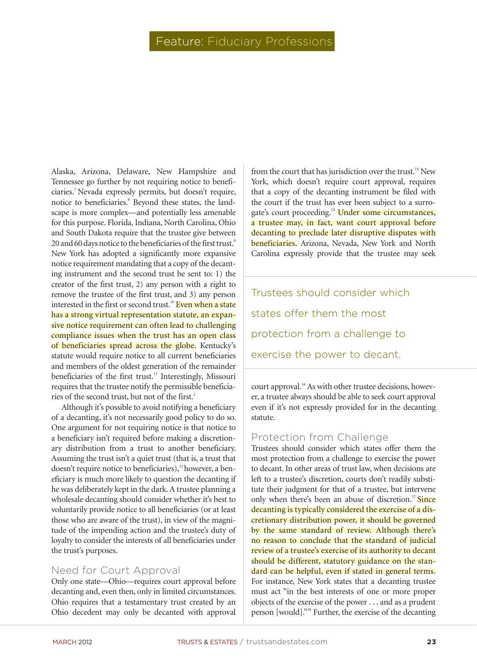# Feature: Fiduciary Professions

Alaska, Arizona, Delaware, New Hampshire and Tennessee go further by not requiring notice to beneficiaries.7 Nevada expressly permits, but doesn't require, notice to beneficiaries.<sup>8</sup> Beyond these states, the landscape is more complex—and potentially less amenable for this purpose. Florida, Indiana, North Carolina, Ohio and South Dakota require that the trustee give between 20 and 60 days notice to the beneficiaries of the first trust.<sup>9</sup> New York has adopted a significantly more expansive notice requirement mandating that a copy of the decanting instrument and the second trust be sent to: 1) the creator of the first trust, 2) any person with a right to remove the trustee of the first trust, and 3) any person interested in the first or second trust.<sup>10</sup> Even when a state has a strong virtual representation statute, an expansive notice requirement can often lead to challenging compliance issues when the trust has an open class of beneficiaries spread across the globe. Kentucky's statute would require notice to all current beneficiaries and members of the oldest generation of the remainder beneficiaries of the first trust.<sup>11</sup> Interestingly, Missouri requires that the trustee notify the permissible beneficiaries of the second trust, but not of the first.<sup>2</sup>

Although it's possible to avoid notifying a beneficiary of a decanting, it's not necessarily good policy to do so. One argument for not requiring notice is that notice to a beneficiary isn't required before making a discretionary distribution from a trust to another beneficiary. Assuming the trust isn't a quiet trust (that is, a trust that doesn't require notice to beneficiaries), $13$  however, a beneficiary is much more likely to question the decanting if he was deliberately kept in the dark. A trustee planning a wholesale decanting should consider whether it's best to voluntarily provide notice to all beneficiaries (or at least those who are aware of the trust), in view of the magnitude of the impending action and the trustee's duty of loyalty to consider the interests of all beneficiaries under the trust's purposes.

#### Need for Court Approval

Only one state—Ohio—requires court approval before decanting and, even then, only in limited circumstances. Ohio requires that a testamentary trust created by an Ohio decedent may only be decanted with approval

from the court that has jurisdiction over the trust.<sup>14</sup> New York, which doesn't require court approval, requires that a copy of the decanting instrument be filed with the court if the trust has ever been subject to a surrogate's court proceeding.<sup>15</sup> Under some circumstances, a trustee may, in fact, want court approval before decanting to preclude later disruptive disputes with beneficiaries. Arizona, Nevada, New York and North Carolina expressly provide that the trustee may seek

Trustees should consider which states offer them the most protection from a challenge to exercise the power to decant.

court approval.<sup>16</sup> As with other trustee decisions, however, a trustee always should be able to seek court approval even if it's not expressly provided for in the decanting statute.

## Protection from Challenge

Trustees should consider which states offer them the most protection from a challenge to exercise the power to decant. In other areas of trust law, when decisions are left to a trustee's discretion, courts don't readily substitute their judgment for that of a trustee, but intervene only when there's been an abuse of discretion.<sup>17</sup> Since decanting is typically considered the exercise of a discretionary distribution power, it should be governed by the same standard of review. Although there's no reason to conclude that the standard of judicial review of a trustee's exercise of its authority to decant should be different, statutory guidance on the standard can be helpful, even if stated in general terms. For instance, New York states that a decanting trustee must act "in the best interests of one or more proper objects of the exercise of the power . . . and as a prudent person [would]."<sup>18</sup> Further, the exercise of the decanting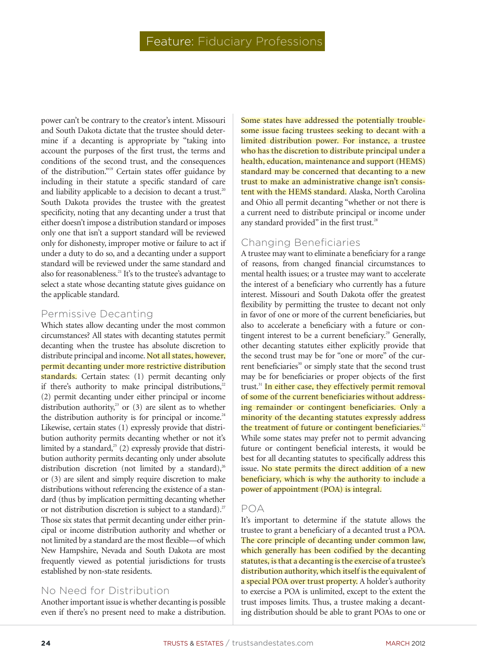power can't be contrary to the creator's intent. Missouri and South Dakota dictate that the trustee should determine if a decanting is appropriate by "taking into account the purposes of the first trust, the terms and conditions of the second trust, and the consequences of the distribution."<sup>19</sup> Certain states offer guidance by including in their statute a specific standard of care and liability applicable to a decision to decant a trust.<sup>20</sup> South Dakota provides the trustee with the greatest specificity, noting that any decanting under a trust that either doesn't impose a distribution standard or imposes only one that isn't a support standard will be reviewed only for dishonesty, improper motive or failure to act if under a duty to do so, and a decanting under a support standard will be reviewed under the same standard and also for reasonableness.<sup>21</sup> It's to the trustee's advantage to select a state whose decanting statute gives guidance on the applicable standard.

## Permissive Decanting

Which states allow decanting under the most common circumstances? All states with decanting statutes permit decanting when the trustee has absolute discretion to distribute principal and income. Not all states, however, permit decanting under more restrictive distribution standards. Certain states: (1) permit decanting only if there's authority to make principal distributions, $22$ (2) permit decanting under either principal or income distribution authority,<sup>23</sup> or  $(3)$  are silent as to whether the distribution authority is for principal or income. $24$ Likewise, certain states (1) expressly provide that distribution authority permits decanting whether or not it's limited by a standard, $25$  (2) expressly provide that distribution authority permits decanting only under absolute distribution discretion (not limited by a standard),<sup>26</sup> or (3) are silent and simply require discretion to make distributions without referencing the existence of a standard (thus by implication permitting decanting whether or not distribution discretion is subject to a standard).<sup>27</sup> Those six states that permit decanting under either principal or income distribution authority and whether or not limited by a standard are the most flexible—of which New Hampshire, Nevada and South Dakota are most frequently viewed as potential jurisdictions for trusts established by non-state residents.

# No Need for Distribution

Another important issue is whether decanting is possible even if there's no present need to make a distribution.

Some states have addressed the potentially troublesome issue facing trustees seeking to decant with a limited distribution power. For instance, a trustee who has the discretion to distribute principal under a health, education, maintenance and support (HEMS) standard may be concerned that decanting to a new trust to make an administrative change isn't consistent with the HEMS standard. Alaska, North Carolina and Ohio all permit decanting "whether or not there is a current need to distribute principal or income under any standard provided" in the first trust.<sup>28</sup>

# Changing Beneficiaries

A trustee may want to eliminate a beneficiary for a range of reasons, from changed financial circumstances to mental health issues; or a trustee may want to accelerate the interest of a beneficiary who currently has a future interest. Missouri and South Dakota offer the greatest flexibility by permitting the trustee to decant not only in favor of one or more of the current beneficiaries, but also to accelerate a beneficiary with a future or contingent interest to be a current beneficiary.<sup>29</sup> Generally, other decanting statutes either explicitly provide that the second trust may be for "one or more" of the current beneficiaries<sup>30</sup> or simply state that the second trust may be for beneficiaries or proper objects of the first trust.<sup>31</sup> In either case, they effectively permit removal of some of the current beneficiaries without addressing remainder or contingent beneficiaries. Only a minority of the decanting statutes expressly address the treatment of future or contingent beneficiaries.<sup>32</sup> While some states may prefer not to permit advancing future or contingent beneficial interests, it would be best for all decanting statutes to specifically address this issue. No state permits the direct addition of a new beneficiary, which is why the authority to include a power of appointment (POA) is integral.

# POA

It's important to determine if the statute allows the trustee to grant a beneficiary of a decanted trust a POA. The core principle of decanting under common law, which generally has been codified by the decanting statutes, is that a decanting is the exercise of a trustee's distribution authority, which itself is the equivalent of a special POA over trust property. A holder's authority to exercise a POA is unlimited, except to the extent the trust imposes limits. Thus, a trustee making a decanting distribution should be able to grant POAs to one or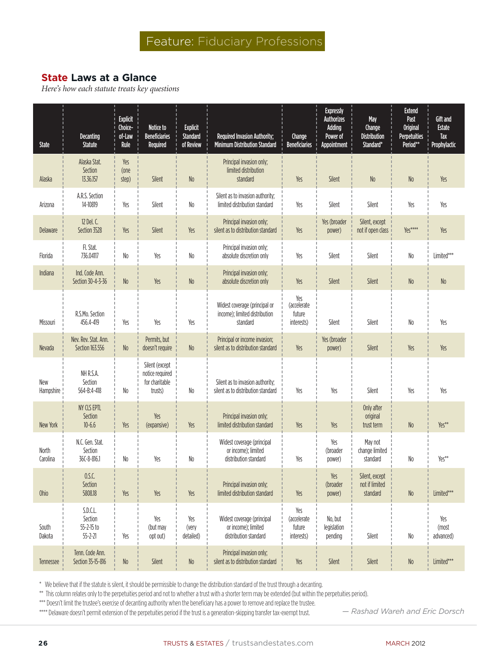# **State Laws at a Glance**

*Here's how each statute treats key questions*

| <b>State</b>      | <b>Decanting</b><br><b>Statute</b>                 | <b>Explicit</b><br>Choice-<br>of-Law<br>Rule | Notice to<br><b>Beneficiaries</b><br>Required                  | <b>Explicit</b><br><b>Standard</b><br>of Review | Required Invasion Authority;<br><b>Minimum Distribution Standard</b>       | Change<br><b>Beneficiaries</b>             | <b>Expressly</b><br><b>Authorizes</b><br>Adding<br>Power of<br>Appointment | May<br>Change<br><b>Distribution</b><br>Standard* | <b>Extend</b><br>Past<br><b>Original</b><br><b>Perpetuities</b><br>Period** | Gift and<br><b>Estate</b><br>Tax<br>Prophylactic |
|-------------------|----------------------------------------------------|----------------------------------------------|----------------------------------------------------------------|-------------------------------------------------|----------------------------------------------------------------------------|--------------------------------------------|----------------------------------------------------------------------------|---------------------------------------------------|-----------------------------------------------------------------------------|--------------------------------------------------|
| Alaska            | Alaska Stat.<br>Section<br>13.36.157               | Yes<br>(one<br>step)                         | Silent                                                         | No                                              | Principal invasion only;<br>limited distribution<br>standard               | Yes                                        | Silent                                                                     | $No$                                              | N <sub>0</sub>                                                              | Yes                                              |
| Arizona           | A.R.S. Section<br>14-10819                         | Yes                                          | Silent                                                         | N <sub>0</sub>                                  | Silent as to invasion authority;<br>limited distribution standard          | Yes                                        | Silent                                                                     | Silent                                            | Yes                                                                         | Yes                                              |
| Delaware          | 12 Del. C.<br>Section 3528                         | Yes                                          | Silent                                                         | Yes                                             | Principal invasion only;<br>silent as to distribution standard             | Yes                                        | Yes (broader<br>power)                                                     | Silent, except<br>not if open class               | Yes****                                                                     | Yes                                              |
| Florida           | Fl. Stat.<br>736.04117                             | $\rm No$                                     | Yes                                                            | No                                              | Principal invasion only;<br>absolute discretion only                       | Yes                                        | Silent                                                                     | Silent                                            | N <sub>0</sub>                                                              | Limited***                                       |
| Indiana           | Ind. Code Ann.<br>Section 30-4-3-36                | $\rm No$                                     | Yes                                                            | No                                              | Principal invasion only;<br>absolute discretion only                       | Yes                                        | Silent                                                                     | Silent                                            | No                                                                          | $No$                                             |
| Missouri          | R.S.Mo. Section<br>456.4-419                       | Yes                                          | Yes                                                            | Yes                                             | Widest coverage (principal or<br>income); limited distribution<br>standard | Yes<br>(accelerate<br>future<br>interests) | Silent                                                                     | Silent                                            | No                                                                          | Yes                                              |
| <b>Nevada</b>     | Nev. Rev. Stat. Ann.<br>Section 163.556            | No                                           | Permits, but<br>doesn't require                                | No                                              | Principal or income invasion;<br>silent as to distribution standard        | Yes                                        | Yes (broader<br>power)                                                     | Silent                                            | Yes                                                                         | Yes                                              |
| New<br>Hampshire  | NH R.S.A.<br>Section<br>564-B:4-418                | No                                           | Silent (except<br>notice required<br>for charitable<br>trusts) | No                                              | Silent as to invasion authority;<br>silent as to distribution standard     | Yes                                        | Yes                                                                        | Silent                                            | Yes                                                                         | Yes                                              |
| New York          | NY CLS EPTL<br>Section<br>$10 - 6.6$               | Yes                                          | Yes<br>(expansive)                                             | Yes                                             | Principal invasion only;<br>limited distribution standard                  | Yes                                        | Yes                                                                        | Only after<br>original<br>trust term              | No                                                                          | Yes**                                            |
| North<br>Carolina | N.C. Gen. Stat.<br>Section<br>36C-8-816.1          | No                                           | Yes                                                            | No                                              | Widest coverage (principal<br>or income); limited<br>distribution standard | Yes                                        | Yes<br>(broader<br>power)                                                  | May not<br>change limited<br>standard             | No                                                                          | Yes**                                            |
| Ohio              | 0.S.C.<br>Section<br>5808.18                       | Yes                                          | Yes                                                            | Yes                                             | Principal invasion only:<br>limited distribution standard                  | Yes                                        | Yes<br>(broader<br>power)                                                  | Silent, except<br>not if limited<br>standard      | No                                                                          | Limited***                                       |
| South<br>Dakota   | S.D.C.L.<br>Section<br>55-2-15 to<br>$55 - 2 - 21$ | Yes                                          | Yes<br>(but may<br>opt out)                                    | Yes<br>(very<br>detailed)                       | Widest coverage (principal<br>or income); limited<br>distribution standard | Yes<br>(accelerate<br>future<br>interests) | No, but<br>legislation<br>pending                                          | Silent                                            | $\,$ $\,$ $\,$                                                              | Yes<br>(most<br>advanced)                        |
| Tennessee         | Tenn. Code Ann.<br>Section 35-15-816               | $\rm No$                                     | Silent                                                         | $\,$ No $\,$                                    | Principal invasion only;<br>silent as to distribution standard             | Yes                                        | Silent                                                                     | Silent                                            | $\,$ $\,$ $\,$ $\,$                                                         | Limited***                                       |

\* We believe that if the statute is silent, it should be permissible to change the distribution standard of the trust through a decanting.

\*\* This column relates only to the perpetuities period and not to whether a trust with a shorter term may be extended (but within the perpetuities period).

\*\*\* Doesn't limit the trustee's exercise of decanting authority when the beneficiary has a power to remove and replace the trustee.

\*\*\*\* Delaware doesn't permit extension of the perpetuities period if the trust is a generation-skipping transfer tax-exempt trust.

*— Rashad Wareh and Eric Dorsch*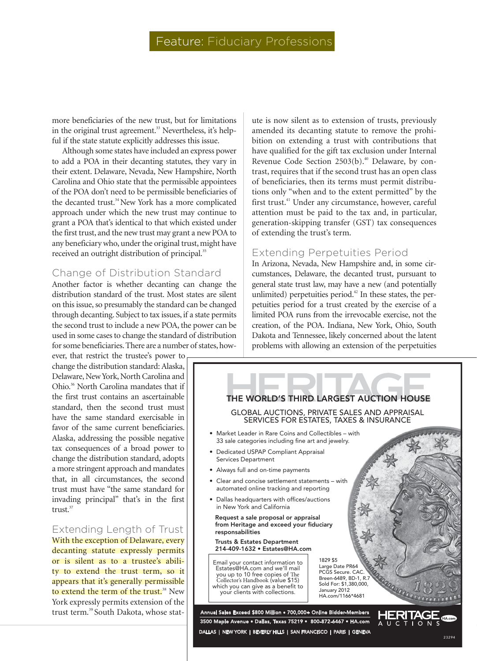more beneficiaries of the new trust, but for limitations in the original trust agreement.<sup>33</sup> Nevertheless, it's helpful if the state statute explicitly addresses this issue.

Although some states have included an express power to add a POA in their decanting statutes, they vary in their extent. Delaware, Nevada, New Hampshire, North Carolina and Ohio state that the permissible appointees of the POA don't need to be permissible beneficiaries of the decanted trust.<sup>34</sup> New York has a more complicated approach under which the new trust may continue to grant a POA that's identical to that which existed under the first trust, and the new trust may grant a new POA to any beneficiary who, under the original trust, might have received an outright distribution of principal.<sup>35</sup>

## Change of Distribution Standard

Another factor is whether decanting can change the distribution standard of the trust. Most states are silent on this issue, so presumably the standard can be changed through decanting. Subject to tax issues, if a state permits the second trust to include a new POA, the power can be used in some cases to change the standard of distribution for some beneficiaries. There are a number of states, how-

ever, that restrict the trustee's power to change the distribution standard: Alaska, Delaware, New York, North Carolina and Ohio.36 North Carolina mandates that if the first trust contains an ascertainable standard, then the second trust must have the same standard exercisable in favor of the same current beneficiaries. Alaska, addressing the possible negative tax consequences of a broad power to change the distribution standard, adopts a more stringent approach and mandates that, in all circumstances, the second trust must have "the same standard for invading principal" that's in the first trust.<sup>37</sup>

Extending Length of Trust With the exception of Delaware, every decanting statute expressly permits or is silent as to a trustee's ability to extend the trust term, so it appears that it's generally permissible to extend the term of the trust.<sup>38</sup> New York expressly permits extension of the trust term.<sup>39</sup> South Dakota, whose stat-

ute is now silent as to extension of trusts, previously amended its decanting statute to remove the prohibition on extending a trust with contributions that have qualified for the gift tax exclusion under Internal Revenue Code Section 2503(b).<sup>40</sup> Delaware, by contrast, requires that if the second trust has an open class of beneficiaries, then its terms must permit distributions only "when and to the extent permitted" by the first trust.<sup>41</sup> Under any circumstance, however, careful attention must be paid to the tax and, in particular, generation-skipping transfer (GST) tax consequences of extending the trust's term.

#### Extending Perpetuities Period

In Arizona, Nevada, New Hampshire and, in some circumstances, Delaware, the decanted trust, pursuant to general state trust law, may have a new (and potentially unlimited) perpetuities period. $42$  In these states, the perpetuities period for a trust created by the exercise of a limited POA runs from the irrevocable exercise, not the creation, of the POA. Indiana, New York, Ohio, South Dakota and Tennessee, likely concerned about the latent problems with allowing an extension of the perpetuities

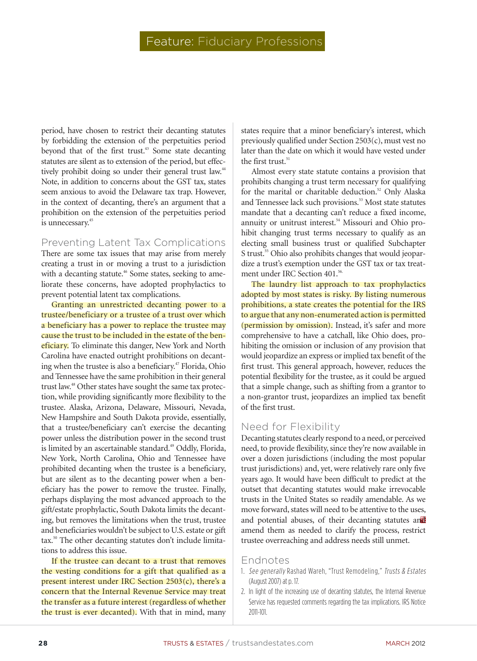period, have chosen to restrict their decanting statutes by forbidding the extension of the perpetuities period beyond that of the first trust.<sup>43</sup> Some state decanting statutes are silent as to extension of the period, but effectively prohibit doing so under their general trust law.<sup>44</sup> Note, in addition to concerns about the GST tax, states seem anxious to avoid the Delaware tax trap. However, in the context of decanting, there's an argument that a prohibition on the extension of the perpetuities period is unnecessary.<sup>45</sup>

#### Preventing Latent Tax Complications

There are some tax issues that may arise from merely creating a trust in or moving a trust to a jurisdiction with a decanting statute.<sup>46</sup> Some states, seeking to ameliorate these concerns, have adopted prophylactics to prevent potential latent tax complications.

Granting an unrestricted decanting power to a trustee/beneficiary or a trustee of a trust over which a beneficiary has a power to replace the trustee may cause the trust to be included in the estate of the beneficiary. To eliminate this danger, New York and North Carolina have enacted outright prohibitions on decanting when the trustee is also a beneficiary.<sup>47</sup> Florida, Ohio and Tennessee have the same prohibition in their general trust law.<sup>48</sup> Other states have sought the same tax protection, while providing significantly more flexibility to the trustee. Alaska, Arizona, Delaware, Missouri, Nevada, New Hampshire and South Dakota provide, essentially, that a trustee/beneficiary can't exercise the decanting power unless the distribution power in the second trust is limited by an ascertainable standard.<sup>49</sup> Oddly, Florida, New York, North Carolina, Ohio and Tennessee have prohibited decanting when the trustee is a beneficiary, but are silent as to the decanting power when a beneficiary has the power to remove the trustee. Finally, perhaps displaying the most advanced approach to the gift/estate prophylactic, South Dakota limits the decanting, but removes the limitations when the trust, trustee and beneficiaries wouldn't be subject to U.S. estate or gift tax.50 The other decanting statutes don't include limitations to address this issue.

If the trustee can decant to a trust that removes the vesting conditions for a gift that qualified as a present interest under IRC Section  $2503(c)$ , there's a concern that the Internal Revenue Service may treat the transfer as a future interest (regardless of whether the trust is ever decanted). With that in mind, many states require that a minor beneficiary's interest, which previously qualified under Section 2503(c), must vest no later than the date on which it would have vested under the first trust.<sup>51</sup>

Almost every state statute contains a provision that prohibits changing a trust term necessary for qualifying for the marital or charitable deduction.<sup>52</sup> Only Alaska and Tennessee lack such provisions.<sup>53</sup> Most state statutes mandate that a decanting can't reduce a fixed income, annuity or unitrust interest.<sup>54</sup> Missouri and Ohio prohibit changing trust terms necessary to qualify as an electing small business trust or qualified Subchapter S trust.<sup>55</sup> Ohio also prohibits changes that would jeopardize a trust's exemption under the GST tax or tax treatment under IRC Section 401.<sup>56.</sup>

The laundry list approach to tax prophylactics adopted by most states is risky. By listing numerous prohibitions, a state creates the potential for the IRS to argue that any non-enumerated action is permitted (permission by omission). Instead, it's safer and more comprehensive to have a catchall, like Ohio does, prohibiting the omission or inclusion of any provision that would jeopardize an express or implied tax benefit of the first trust. This general approach, however, reduces the potential flexibility for the trustee, as it could be argued that a simple change, such as shifting from a grantor to a non-grantor trust, jeopardizes an implied tax benefit of the first trust.

# Need for Flexibility

and potential abuses, of their decanting statutes and Decanting statutes clearly respond to a need, or perceived need, to provide flexibility, since they're now available in over a dozen jurisdictions (including the most popular trust jurisdictions) and, yet, were relatively rare only five years ago. It would have been difficult to predict at the outset that decanting statutes would make irrevocable trusts in the United States so readily amendable. As we move forward, states will need to be attentive to the uses, amend them as needed to clarify the process, restrict trustee overreaching and address needs still unmet.

#### Endnotes

- 1. See generally Rashad Wareh, "Trust Remodeling," Trusts & Estates (August 2007) at p. 17.
- 2. In light of the increasing use of decanting statutes, the Internal Revenue Service has requested comments regarding the tax implications. IRS Notice 2011-101.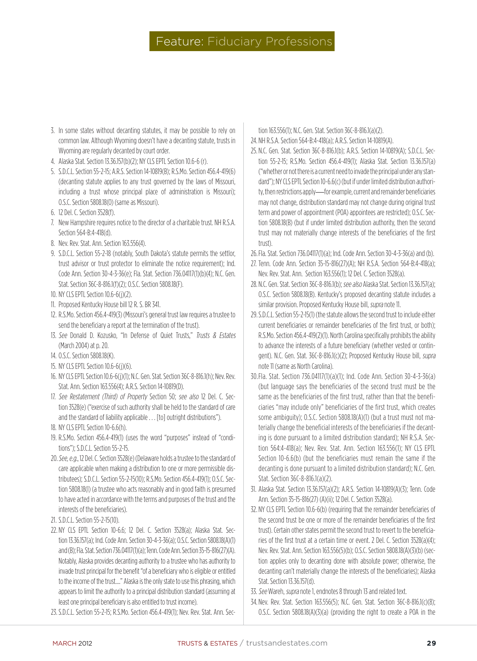# Feature: Fiduciary Professions

- 3. In some states without decanting statutes, it may be possible to rely on common law. Although Wyoming doesn't have a decanting statute, trusts in Wyoming are regularly decanted by court order.
- 4. Alaska Stat. Section 13.36.157(b)(2); NY CLS EPTL Section 10.6-6 (r).
- 5. S.D.C.L. Section 55-2-15; A.R.S. Section 14-10819(B); R.S.Mo. Section 456.4-419(6) (decanting statute applies to any trust governed by the laws of Missouri, including a trust whose principal place of administration is Missouri); O.S.C. Section 5808.18(O) (same as Missouri).
- 6. 12 Del. C. Section 3528(f).
- 7. New Hampshire requires notice to the director of a charitable trust. NH R.S.A. Section 564-B:4-418(d).
- 8. Nev. Rev. Stat. Ann. Section 163.556(4).
- 9. S.D.C.L. Section 55-2-18 (notably, South Dakota's statute permits the settlor, trust advisor or trust protector to eliminate the notice requirement); Ind. Code Ann. Section 30-4-3-36(e); Fla. Stat. Section 736.04117(1)(b)(4); N.C. Gen. Stat. Section 36C-8-816.1(f)(2); O.S.C. Section 5808.18(F).
- 10. NY CLS EPTL Section 10.6-6(j)(2).
- 11. Proposed Kentucky House bill 12 R. S. BR 341.
- 12. R.S.Mo. Section 456.4-419(3) (Missouri's general trust law requires a trustee to send the beneficiary a report at the termination of the trust).
- 13. See Donald D. Kozusko, "In Defense of Quiet Trusts," Trusts & Estates (March 2004) at p. 20.
- 14. O.S.C. Section 5808.18(K).
- 15. NY CLS EPTL Section 10.6-6(j)(6).
- 16. NY CLS EPTL Section 10.6-6(j)(1); N.C. Gen. Stat. Section 36C-8-816.1(h); Nev. Rev. Stat. Ann. Section 163.556(4); A.R.S. Section 14-10819(D).
- 17. See Restatement (Third) of Property Section 50; see also 12 Del. C. Section 3528(e) ("exercise of such authority shall be held to the standard of care and the standard of liability applicable . . . [to] outright distributions").
- 18. NY CLS EPTL Section 10-6.6(h).
- 19. R.S.Mo. Section 456.4-419(1) (uses the word "purposes" instead of "conditions"); S.D.C.L. Section 55-2-15.
- 20.See, e.g., 12 Del. C. Section 3528(e) (Delaware holds a trustee to the standard of care applicable when making a distribution to one or more permissible distributees); S.D.C.L. Section 55-2-15(10); R.S.Mo. Section 456.4-419(1); O.S.C. Section 5808.18(I) (a trustee who acts reasonably and in good faith is presumed to have acted in accordance with the terms and purposes of the trust and the interests of the beneficiaries).
- 21. S.D.C.L. Section 55-2-15(10).
- 22. NY CLS EPTL Section 10-6.6; 12 Del. C. Section 3528(a); Alaska Stat. Section 13.36.157(a); Ind. Code Ann. Section 30-4-3-36(a); O.S.C. Section 5808.18(A)(1) and (B); Fla. Stat. Section 736.04117(1)(a); Tenn. Code Ann. Section 35-15-816(27)(A). Notably, Alaska provides decanting authority to a trustee who has authority to invade trust principal for the benefit "of a beneficiary who is eligible or entitled to the income of the trust…." Alaska is the only state to use this phrasing, which appears to limit the authority to a principal distribution standard (assuming at least one principal beneficiary is also entitled to trust income).
- 23.S.D.C.L. Section 55-2-15; R.S.Mo. Section 456.4-419(1); Nev. Rev. Stat. Ann. Sec-

tion 163.556(1); N.C. Gen. Stat. Section 36C-8-816.1(a)(2).

- 24. NH R.S.A. Section 564-B:4-418(a); A.R.S. Section 14-10819(A).
- 25. N.C. Gen. Stat. Section 36C-8-816.1(b); A.R.S. Section 14-10819(A); S.D.C.L. Section 55-2-15; R.S.Mo. Section 456.4-419(1); Alaska Stat. Section 13.36.157(a) ("whether or not there is a current need to invade the principal under any standard"); NY CLS EPTL Section 10-6.6(c) (but if under limited distribution authority, then restrictions apply—for example, current and remainder beneficiaries may not change, distribution standard may not change during original trust term and power of appointment (POA) appointees are restricted); O.S.C. Section 5808.18(B) (but if under limited distribution authority, then the second trust may not materially change interests of the beneficiaries of the first trust).
- 26.Fla. Stat. Section 736.04117(1)(a); Ind. Code Ann. Section 30-4-3-36(a) and (b).
- 27. Tenn. Code Ann. Section 35-15-816(27)(A); NH R.S.A. Section 564-B:4-418(a); Nev. Rev. Stat. Ann. Section 163.556(1); 12 Del. C. Section 3528(a).
- 28. N.C. Gen. Stat. Section 36C-8-816.1(b); see also Alaska Stat. Section 13.36.157(a); O.S.C. Section 5808.18(B). Kentucky's proposed decanting statute includes a similar provision. Proposed Kentucky House bill, *supra* note 11.
- 29.S.D.C.L. Section 55-2-15(1) (the statute allows the second trust to include either current beneficiaries or remainder beneficiaries of the first trust, or both); R.S.Mo. Section 456.4-419(2)(1). North Carolina specifically prohibits the ability to advance the interests of a future beneficiary (whether vested or contingent). N.C. Gen. Stat. 36C-8-816.1(c)(2); Proposed Kentucky House bill, supra note 11 (same as North Carolina).
- 30.Fla. Stat. Section 736.04117(1)(a)(1); Ind. Code Ann. Section 30-4-3-36(a) (but language says the beneficiaries of the second trust must be the same as the beneficiaries of the first trust, rather than that the beneficiaries "may include only" beneficiaries of the first trust, which creates some ambiguity); O.S.C. Section 5808.18(A)(1) (but a trust must not materially change the beneficial interests of the beneficiaries if the decanting is done pursuant to a limited distribution standard); NH R.S.A. Section 564:4-418(a); Nev. Rev. Stat. Ann. Section 163.556(1); NY CLS EPTL Section 10-6.6(b) (but the beneficiaries must remain the same if the decanting is done pursuant to a limited distribution standard); N.C. Gen. Stat. Section 36C-8-816.1(a)(2).
- 31. Alaska Stat. Section 13.36.157(a)(2); A.R.S. Section 14-10819(A)(3); Tenn. Code Ann. Section 35-15-816(27) (A)(ii); 12 Del. C. Section 3528(a).
- 32. NY CLS EPTL Section 10.6-6(b) (requiring that the remainder beneficiaries of the second trust be one or more of the remainder beneficiaries of the first trust). Certain other states permit the second trust to revert to the beneficiaries of the first trust at a certain time or event. 2 Del. C. Section 3528(a)(4); Nev. Rev. Stat. Ann. Section 163.556(5)(b); O.S.C. Section 5808.18(A)(3)(b) (section applies only to decanting done with absolute power; otherwise, the decanting can't materially change the interests of the beneficiaries); Alaska Stat. Section 13.36.157(d).
- 33. See Wareh, supra note 1, endnotes 8 through 13 and related text.
- 34. Nev. Rev. Stat. Section 163.556(5); N.C. Gen. Stat. Section 36C-8-816.1(c)(8); O.S.C. Section 5808.18(A)(3)(a) (providing the right to create a POA in the